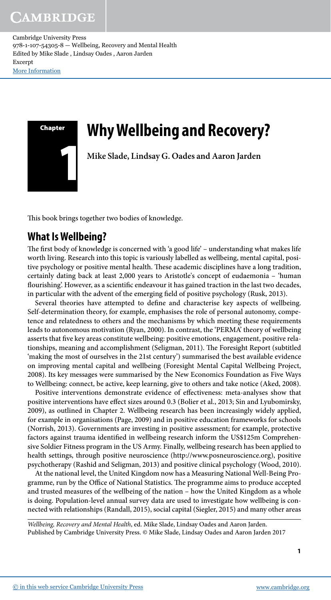

# **Why Wellbeing and Recovery?**

 **Mike Slade , Lindsay G. Oades and Aaron Jarden** 

This book brings together two bodies of knowledge.

# **What Is Wellbeing?**

The first body of knowledge is concerned with 'a good life' – understanding what makes life worth living. Research into this topic is variously labelled as wellbeing, mental capital, positive psychology or positive mental health. These academic disciplines have a long tradition, certainly dating back at least 2,000 years to Aristotle's concept of eudaemonia – 'human flourishing'. However, as a scientific endeavour it has gained traction in the last two decades, in particular with the advent of the emerging field of positive psychology (Rusk, 2013).

Several theories have attempted to define and characterise key aspects of wellbeing. Self- determination theory, for example, emphasises the role of personal autonomy, competence and relatedness to others and the mechanisms by which meeting these requirements leads to autonomous motivation (Ryan, 2000). In contrast, the 'PERMA' theory of wellbeing asserts that five key areas constitute wellbeing: positive emotions, engagement, positive relationships, meaning and accomplishment (Seligman, 2011). The Foresight Report (subtitled 'making the most of ourselves in the 21st century') summarised the best available evidence on improving mental capital and wellbeing (Foresight Mental Capital Wellbeing Project, 2008 ). Its key messages were summarised by the New Economics Foundation as Five Ways to Wellbeing: connect, be active, keep learning, give to others and take notice (Aked, 2008).

Positive interventions demonstrate evidence of effectiveness: meta-analyses show that positive interventions have effect sizes around 0.3 (Bolier et al., 2013; Sin and Lyubomirsky, 2009), as outlined in Chapter 2. Wellbeing research has been increasingly widely applied, for example in organisations (Page, 2009) and in positive education frameworks for schools (Norrish, 2013 ). Governments are investing in positive assessment; for example, protective factors against trauma identified in wellbeing research inform the US\$125m Comprehensive Soldier Fitness program in the US Army. Finally, wellbeing research has been applied to health settings, through positive neuroscience (http://www.posneuroscience.org), positive psychotherapy (Rashid and Seligman, 2013) and positive clinical psychology (Wood, 2010).

 At the national level, the United Kingdom now has a Measuring National Well-Being Programme, run by the Office of National Statistics. The programme aims to produce accepted and trusted measures of the wellbeing of the nation – how the United Kingdom as a whole is doing. Population-level annual survey data are used to investigate how wellbeing is connected with relationships (Randall, 2015 ), social capital (Siegler, 2015 ) and many other areas

Wellbeing, Recovery and Mental Health, ed. Mike Slade, Lindsay Oades and Aaron Jarden. Published by Cambridge University Press. © Mike Slade, Lindsay Oades and Aaron Jarden 2017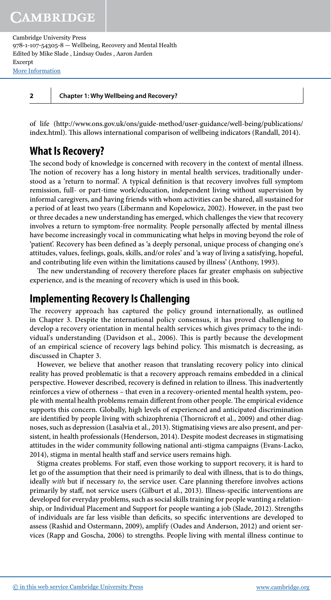**2 Chapter 1: Why Wellbeing and Recovery?**

 of life ( http://www.ons.gov.uk/ons/guide-method/user-guidance/well-being/publications/ index.html). This allows international comparison of wellbeing indicators (Randall, 2014).

# **What Is Recovery?**

The second body of knowledge is concerned with recovery in the context of mental illness. The notion of recovery has a long history in mental health services, traditionally understood as a 'return to normal'. A typical definition is that recovery involves full symptom remission, full- or part-time work/education, independent living without supervision by informal caregivers, and having friends with whom activities can be shared, all sustained for a period of at least two years (Libermann and Kopelowicz, 2002 ). However, in the past two or three decades a new understanding has emerged, which challenges the view that recovery involves a return to symptom-free normality. People personally affected by mental illness have become increasingly vocal in communicating what helps in moving beyond the role of 'patient'. Recovery has been defined as 'a deeply personal, unique process of changing one's attitudes, values, feelings, goals, skills, and/or roles' and 'a way of living a satisfying, hopeful, and contributing life even within the limitations caused by illness' (Anthony, 1993 ).

The new understanding of recovery therefore places far greater emphasis on subjective experience, and is the meaning of recovery which is used in this book.

### **Implementing Recovery Is Challenging**

The recovery approach has captured the policy ground internationally, as outlined in Chapter 3. Despite the international policy consensus, it has proved challenging to develop a recovery orientation in mental health services which gives primacy to the individual's understanding (Davidson et al., 2006). This is partly because the development of an empirical science of recovery lags behind policy. This mismatch is decreasing, as discussed in Chapter 3.

 However, we believe that another reason that translating recovery policy into clinical reality has proved problematic is that a recovery approach remains embedded in a clinical perspective. However described, recovery is defined in relation to illness. This inadvertently reinforces a view of otherness – that even in a recovery-oriented mental health system, people with mental health problems remain different from other people. The empirical evidence supports this concern. Globally, high levels of experienced and anticipated discrimination are identified by people living with schizophrenia (Thornicroft et al., 2009) and other diagnoses, such as depression (Lasalvia et al., 2013 ). Stigmatising views are also present, and persistent, in health professionals (Henderson, 2014). Despite modest decreases in stigmatising attitudes in the wider community following national anti-stigma campaigns (Evans-Lacko, 2014), stigma in mental health staff and service users remains high.

Stigma creates problems. For staff, even those working to support recovery, it is hard to let go of the assumption that their need is primarily to deal with illness, that is to do things, ideally with but if necessary to, the service user. Care planning therefore involves actions primarily by staff, not service users (Gilburt et al., 2013). Illness-specific interventions are developed for everyday problems, such as social skills training for people wanting a relationship, or Individual Placement and Support for people wanting a job (Slade, 2012). Strengths of individuals are far less visible than deficits, so specific interventions are developed to assess (Rashid and Ostermann, 2009), amplify (Oades and Anderson, 2012) and orient services (Rapp and Goscha, 2006 ) to strengths. People living with mental illness continue to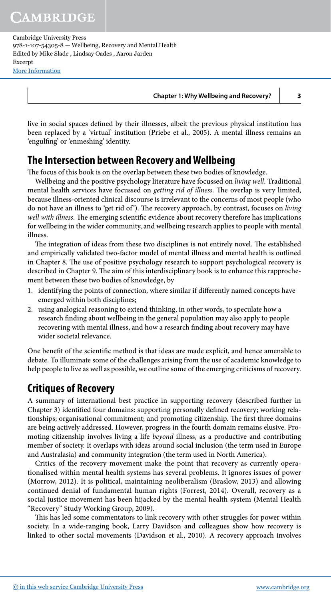**Chapter 1: Why Wellbeing and Recovery? 3**

live in social spaces defined by their illnesses, albeit the previous physical institution has been replaced by a 'virtual' institution (Priebe et al., 2005). A mental illness remains an 'engulfing' or 'enmeshing' identity.

# **The Intersection between Recovery and Wellbeing**

The focus of this book is on the overlap between these two bodies of knowledge.

Wellbeing and the positive psychology literature have focussed on *living well*. Traditional mental health services have focussed on *getting rid of illness*. The overlap is very limited, because illness-oriented clinical discourse is irrelevant to the concerns of most people (who do not have an illness to 'get rid of'). The recovery approach, by contrast, focuses on living well with illness. The emerging scientific evidence about recovery therefore has implications for wellbeing in the wider community, and wellbeing research applies to people with mental illness.

The integration of ideas from these two disciplines is not entirely novel. The established and empirically validated two-factor model of mental illness and mental health is outlined in Chapter 8. The use of positive psychology research to support psychological recovery is described in Chapter 9. The aim of this interdisciplinary book is to enhance this rapprochement between these two bodies of knowledge, by

- 1. identifying the points of connection, where similar if differently named concepts have emerged within both disciplines;
- 2. using analogical reasoning to extend thinking, in other words, to speculate how a research finding about wellbeing in the general population may also apply to people recovering with mental illness, and how a research finding about recovery may have wider societal relevance.

One benefit of the scientific method is that ideas are made explicit, and hence amenable to debate. To illuminate some of the challenges arising from the use of academic knowledge to help people to live as well as possible, we outline some of the emerging criticisms of recovery.

## **Critiques of Recovery**

 A summary of international best practice in supporting recovery (described further in Chapter 3) identified four domains: supporting personally defined recovery; working relationships; organisational commitment; and promoting citizenship. The first three domains are being actively addressed. However, progress in the fourth domain remains elusive. Promoting citizenship involves living a life beyond illness, as a productive and contributing member of society. It overlaps with ideas around social inclusion (the term used in Europe and Australasia) and community integration (the term used in North America).

 Critics of the recovery movement make the point that recovery as currently operationalised within mental health systems has several problems. It ignores issues of power (Morrow, 2012). It is political, maintaining neoliberalism (Braslow, 2013) and allowing continued denial of fundamental human rights (Forrest, 2014 ). Overall, recovery as a social justice movement has been hijacked by the mental health system (Mental Health "Recovery" Study Working Group, 2009).

This has led some commentators to link recovery with other struggles for power within society. In a wide-ranging book, Larry Davidson and colleagues show how recovery is linked to other social movements (Davidson et al., 2010). A recovery approach involves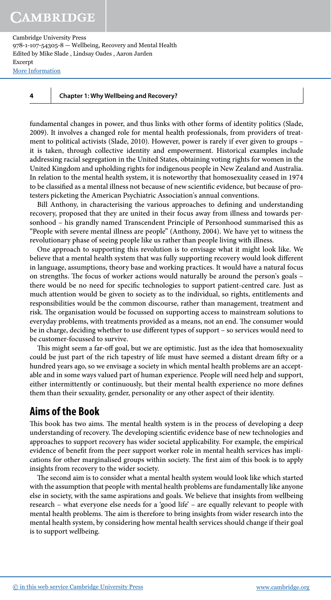# **CAMBRIDGE**

Cambridge University Press 978-1-107-54305-8 — Wellbeing, Recovery and Mental Health Edited by Mike Slade , Lindsay Oades , Aaron Jarden Excerpt [More Information](www.cambridge.org/9781107543058)

**4 Chapter 1: Why Wellbeing and Recovery?**

 fundamental changes in power, and thus links with other forms of identity politics (Slade, 2009). It involves a changed role for mental health professionals, from providers of treatment to political activists (Slade, 2010). However, power is rarely if ever given to groups – it is taken, through collective identity and empowerment. Historical examples include addressing racial segregation in the United States, obtaining voting rights for women in the United Kingdom and upholding rights for indigenous people in New Zealand and Australia. In relation to the mental health system, it is noteworthy that homosexuality ceased in 1974 to be classified as a mental illness not because of new scientific evidence, but because of protesters picketing the American Psychiatric Association's annual conventions.

Bill Anthony, in characterising the various approaches to defining and understanding recovery, proposed that they are united in their focus away from illness and towards personhood – his grandly named Transcendent Principle of Personhood summarised this as "People with severe mental illness are people" (Anthony, 2004 ). We have yet to witness the revolutionary phase of seeing people like us rather than people living with illness.

 One approach to supporting this revolution is to envisage what it might look like. We believe that a mental health system that was fully supporting recovery would look different in language, assumptions, theory base and working practices. It would have a natural focus on strengths. The focus of worker actions would naturally be around the person's goals – there would be no need for specific technologies to support patient-centred care. Just as much attention would be given to society as to the individual, so rights, entitlements and responsibilities would be the common discourse, rather than management, treatment and risk. The organisation would be focussed on supporting access to mainstream solutions to everyday problems, with treatments provided as a means, not an end. The consumer would be in charge, deciding whether to use different types of support – so services would need to be customer-focussed to survive.

This might seem a far-off goal, but we are optimistic. Just as the idea that homosexuality could be just part of the rich tapestry of life must have seemed a distant dream fifty or a hundred years ago, so we envisage a society in which mental health problems are an acceptable and in some ways valued part of human experience. People will need help and support, either intermittently or continuously, but their mental health experience no more defines them than their sexuality, gender, personality or any other aspect of their identity .

## **Aims of the Book**

This book has two aims. The mental health system is in the process of developing a deep understanding of recovery. The developing scientific evidence base of new technologies and approaches to support recovery has wider societal applicability. For example, the empirical evidence of benefit from the peer support worker role in mental health services has implications for other marginalised groups within society. The first aim of this book is to apply insights from recovery to the wider society.

The second aim is to consider what a mental health system would look like which started with the assumption that people with mental health problems are fundamentally like anyone else in society, with the same aspirations and goals. We believe that insights from wellbeing research – what everyone else needs for a 'good life' – are equally relevant to people with mental health problems. The aim is therefore to bring insights from wider research into the mental health system, by considering how mental health services should change if their goal is to support wellbeing.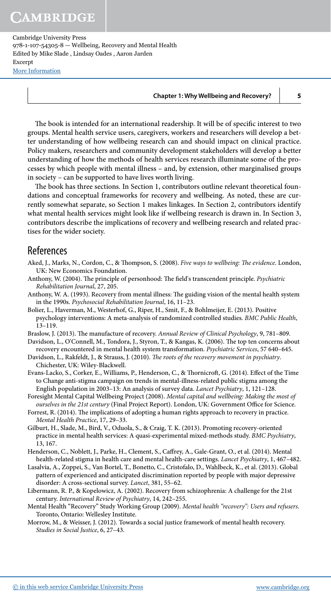#### **Chapter 1: Why Wellbeing and Recovery? 5**

The book is intended for an international readership. It will be of specific interest to two groups. Mental health service users, caregivers, workers and researchers will develop a better understanding of how wellbeing research can and should impact on clinical practice. Policy makers, researchers and community development stakeholders will develop a better understanding of how the methods of health services research illuminate some of the processes by which people with mental illness – and, by extension, other marginalised groups in society – can be supported to have lives worth living.

The book has three sections. In Section 1, contributors outline relevant theoretical foundations and conceptual frameworks for recovery and wellbeing. As noted, these are currently somewhat separate, so Section 1 makes linkages. In Section 2, contributors identify what mental health services might look like if wellbeing research is drawn in. In Section 3, contributors describe the implications of recovery and wellbeing research and related practises for the wider society.

#### References

- Aked, J., Marks, N., Cordon, C., & Thompson, S. (2008). Five ways to wellbeing: The evidence. London, UK: New Economics Foundation.
- Anthony, W. (2004). The principle of personhood: The field's transcendent principle. Psychiatric Rehabilitation Journal, 27, 205.
- Anthony, W. A. (1993). Recovery from mental illness: The guiding vision of the mental health system in the 1990s. Psychosocial Rehabilitation Journal, 16, 11-23.
- Bolier, L., Haverman, M., Westerhof, G., Riper, H., Smit, F., & Bohlmeijer, E. (2013). Positive psychology interventions: A meta-analysis of randomized controlled studies. BMC Public Health, 13 –119.
- Braslow, J. (2013). The manufacture of recovery. Annual Review of Clinical Psychology, 9, 781-809.

Davidson, L., O'Connell, M., Tondora, J., Styron, T., & Kangas, K. (2006). The top ten concerns about recovery encountered in mental health system transformation. Psychiatric Services, 57 640-645.

- Davidson, L., Rakfeldt, J., & Strauss, J. (2010). The roots of the recovery movement in psychiatry. Chichester, UK: Wiley-Blackwell.
- Evans-Lacko, S., Corker, E., Williams, P., Henderson, C., & Thornicroft, G. (2014). Effect of the Time to Change anti-stigma campaign on trends in mental-illness-related public stigma among the English population in 2003–13: An analysis of survey data. Lancet Psychiatry, 1, 121–128.
- Foresight Mental Capital Wellbeing Project ( 2008 ). Mental capital and wellbeing: Making the most of ourselves in the 21st century (Final Project Report). London, UK: Government Office for Science.
- Forrest, R. (2014). The implications of adopting a human rights approach to recovery in practice. Mental Health Practice, 17, 29-33.
- Gilburt, H., Slade, M., Bird, V., Oduola, S., & Craig, T. K. (2013). Promoting recovery-oriented practice in mental health services: A quasi-experimental mixed-methods study. BMC Psychiatry, 13, 167.
- Henderson, C., Noblett, J., Parke, H., Clement, S., Caffrey, A., Gale-Grant, O., et al. (2014). Mental health-related stigma in health care and mental health-care settings. Lancet Psychiatry, 1, 467-482.
- Lasalvia, A., Zoppei, S., Van Bortel, T., Bonetto, C., Cristofalo, D., Wahlbeck, K., et al. (2013). Global pattern of experienced and anticipated discrimination reported by people with major depressive disorder: A cross-sectional survey. Lancet, 381, 55-62.
- Libermann, R. P., & Kopelowicz, A. (2002). Recovery from schizophrenia: A challenge for the 21st century. International Review of Psychiatry, 14, 242-255.
- Mental Health "Recovery" Study Working Group (2009). Mental health "recovery": Users and refusers. Toronto, Ontario: Wellesley Institute.
- Morrow, M., & Weisser, J. (2012). Towards a social justice framework of mental health recovery. Studies in Social Justice, 6, 27-43.